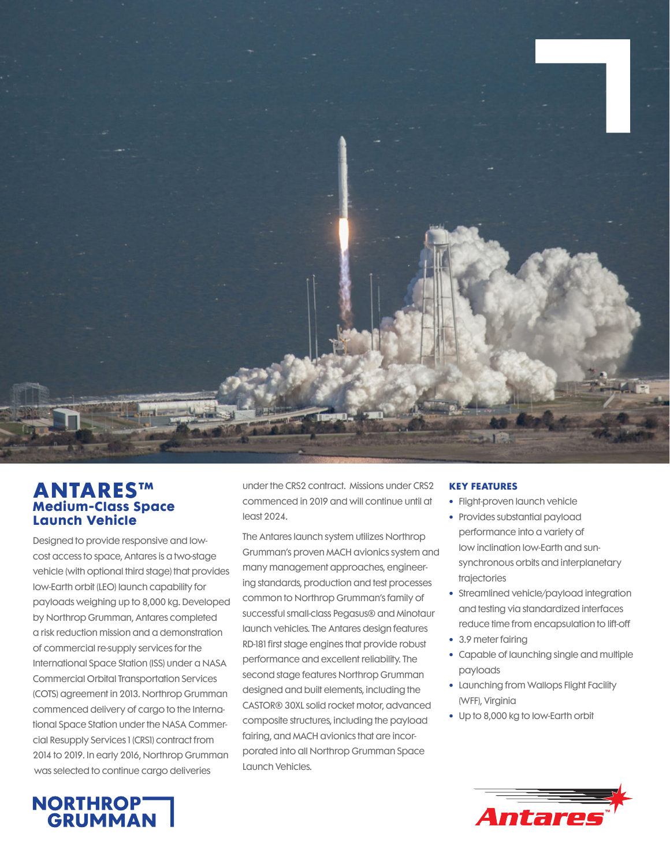

## **ANTARES™ Medium-Class Space Launch Vehicle**

Designed to provide responsive and lowcost access to space, Antares is a two-stage vehicle (with optional third stage) that provides low-Earth orbit (LEO) launch capability for payloads weighing up to 8,000 kg. Developed by Northrop Grumman, Antares completed a risk reduction mission and a demonstration of commercial re-supply services for the International Space Station (ISS) under a NASA Commercial Orbital Transportation Services (COTS) agreement in 2013. Northrop Grumman commenced delivery of cargo to the International Space Station under the NASA Commercial Resupply Services 1 (CRS1) contract from 2014 to 2019. In early 2016, Northrop Grumman was selected to continue cargo deliveries

under the CRS2 contract. Missions under CRS2 commenced in 2019 and will continue until at least 2024.

The Antares launch system utilizes Northrop Grumman's proven MACH avionics system and many management approaches, engineering standards, production and test processes common to Northrop Grumman's family of successful small-class Pegasus® and Minotaur launch vehicles. The Antares design features RD-181 first stage engines that provide robust performance and excellent reliability. The second stage features Northrop Grumman designed and built elements, including the CASTOR® 30XL solid rocket motor, advanced composite structures, including the payload fairing, and MACH avionics that are incorporated into all Northrop Grumman Space Launch Vehicles.

## **KEY FEATURES**

- **•** Flight-proven launch vehicle
- **•** Provides substantial payload performance into a variety of low inclination low-Earth and sunsynchronous orbits and interplanetary trajectories
- **•** Streamlined vehicle/payload integration and testing via standardized interfaces reduce time from encapsulation to lift-off
- **•** 3.9 meter fairing
- **•** Capable of launching single and multiple payloads
- **•** Launching from Wallops Flight Facility (WFF), Virginia
- **•** Up to 8,000 kg to low-Earth orbit